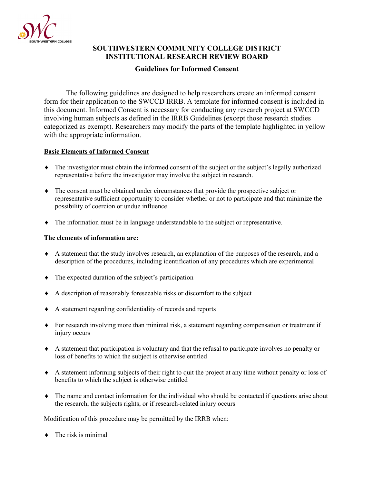

# **SOUTHWESTERN COMMUNITY COLLEGE DISTRICT INSTITUTIONAL RESEARCH REVIEW BOARD**

# **Guidelines for Informed Consent**

The following guidelines are designed to help researchers create an informed consent form for their application to the SWCCD IRRB. A template for informed consent is included in this document. Informed Consent is necessary for conducting any research project at SWCCD involving human subjects as defined in the IRRB Guidelines (except those research studies categorized as exempt). Researchers may modify the parts of the template highlighted in yellow with the appropriate information.

#### **Basic Elements of Informed Consent**

- ♦ The investigator must obtain the informed consent of the subject or the subject's legally authorized representative before the investigator may involve the subject in research.
- ♦ The consent must be obtained under circumstances that provide the prospective subject or representative sufficient opportunity to consider whether or not to participate and that minimize the possibility of coercion or undue influence.
- ♦ The information must be in language understandable to the subject or representative.

#### **The elements of information are:**

- ♦ A statement that the study involves research, an explanation of the purposes of the research, and a description of the procedures, including identification of any procedures which are experimental
- ♦ The expected duration of the subject's participation
- ♦ A description of reasonably foreseeable risks or discomfort to the subject
- ♦ A statement regarding confidentiality of records and reports
- ♦ For research involving more than minimal risk, a statement regarding compensation or treatment if injury occurs
- ♦ A statement that participation is voluntary and that the refusal to participate involves no penalty or loss of benefits to which the subject is otherwise entitled
- ♦ A statement informing subjects of their right to quit the project at any time without penalty or loss of benefits to which the subject is otherwise entitled
- ♦ The name and contact information for the individual who should be contacted if questions arise about the research, the subjects rights, or if research-related injury occurs

Modification of this procedure may be permitted by the IRRB when:

 $\bullet$  The risk is minimal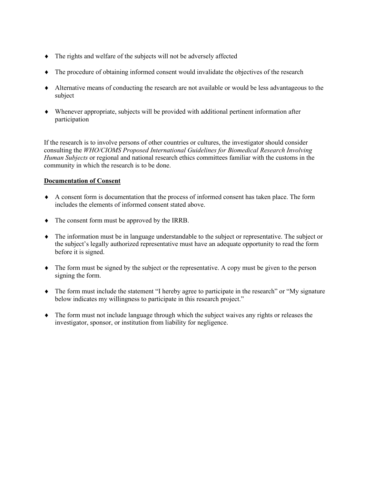- ♦ The rights and welfare of the subjects will not be adversely affected
- ♦ The procedure of obtaining informed consent would invalidate the objectives of the research
- ♦ Alternative means of conducting the research are not available or would be less advantageous to the subject
- ♦ Whenever appropriate, subjects will be provided with additional pertinent information after participation

If the research is to involve persons of other countries or cultures, the investigator should consider consulting the *WHO/CIOMS Proposed International Guidelines for Biomedical Research Involving Human Subjects* or regional and national research ethics committees familiar with the customs in the community in which the research is to be done.

#### **Documentation of Consent**

- ♦ A consent form is documentation that the process of informed consent has taken place. The form includes the elements of informed consent stated above.
- ♦ The consent form must be approved by the IRRB.
- ♦ The information must be in language understandable to the subject or representative. The subject or the subject's legally authorized representative must have an adequate opportunity to read the form before it is signed.
- ♦ The form must be signed by the subject or the representative. A copy must be given to the person signing the form.
- ♦ The form must include the statement "I hereby agree to participate in the research" or "My signature below indicates my willingness to participate in this research project."
- ♦ The form must not include language through which the subject waives any rights or releases the investigator, sponsor, or institution from liability for negligence.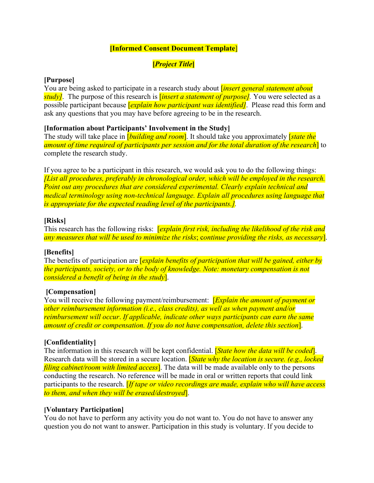# **[Informed Consent Document Template**]

# **[***Project Title***]**

### **[Purpose]**

You are being asked to participate in a research study about [*insert general statement about study]*. The purpose of this research is [*insert a statement of purpose].* You were selected as a possible participant because [*explain how participant was identified]*. Please read this form and ask any questions that you may have before agreeing to be in the research.

### **[Information about Participants' Involvement in the Study]**

The study will take place in [*building and room*]. It should take you approximately [*state the amount of time required of participants per session and for the total duration of the research*] to complete the research study.

If you agree to be a participant in this research, we would ask you to do the following things: *[List all procedures, preferably in chronological order, which will be employed in the research. Point out any procedures that are considered experimental. Clearly explain technical and medical terminology using non-technical language. Explain all procedures using language that is appropriate for the expected reading level of the participants.].*

### **[Risks]**

This research has the following risks: [*explain first risk, including the likelihood of the risk and any measures that will be used to minimize the risks*; c*ontinue providing the risks, as necessary*].

### **[Benefits]**

The benefits of participation are [*explain benefits of participation that will be gained, either by the participants, society, or to the body of knowledge. Note: monetary compensation is not considered a benefit of being in the study*].

### **[Compensation]**

You will receive the following payment/reimbursement: [*Explain the amount of payment or other reimbursement information (i.e., class credits), as well as when payment and/or reimbursement will occur*. *If applicable, indicate other ways participants can earn the same amount of credit or compensation. If you do not have compensation, delete this section*].

### **[Confidentiality]**

The information in this research will be kept confidential. [*State how the data will be coded*]. Research data will be stored in a secure location. [*State why the location is secure. (e.g., locked filing cabinet/room with limited access*]. The data will be made available only to the persons conducting the research. No reference will be made in oral or written reports that could link participants to the research. [*If tape or video recordings are made, explain who will have access to them, and when they will be erased/destroyed*].

#### **[Voluntary Participation]**

You do not have to perform any activity you do not want to. You do not have to answer any question you do not want to answer. Participation in this study is voluntary. If you decide to